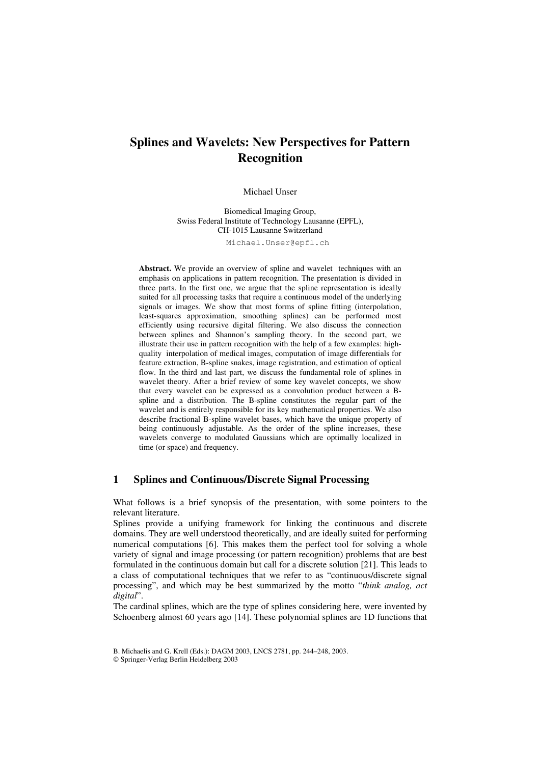# **Splines and Wavelets: New Perspectives for Pattern Recognition**

Michael Unser

Biomedical Imaging Group, Swiss Federal Institute of Technology Lausanne (EPFL), CH-1015 Lausanne Switzerland

Michael.Unser@epfl.ch

Abstract. We provide an overview of spline and wavelet techniques with an emphasis on applications in pattern recognition. The presentation is divided in three parts. In the first one, we argue that the spline representation is ideally suited for all processing tasks that require a continuous model of the underlying signals or images. We show that most forms of spline fitting (interpolation, least-squares approximation, smoothing splines) can be performed most efficiently using recursive digital filtering. We also discuss the connection between splines and Shannon's sampling theory. In the second part, we illustrate their use in pattern recognition with the help of a few examples: highquality interpolation of medical images, computation of image differentials for feature extraction, B-spline snakes, image registration, and estimation of optical flow. In the third and last part, we discuss the fundamental role of splines in wavelet theory. After a brief review of some key wavelet concepts, we show that every wavelet can be expressed as a convolution product between a Bspline and a distribution. The B-spline constitutes the regular part of the wavelet and is entirely responsible for its key mathematical properties. We also describe fractional B-spline wavelet bases, which have the unique property of being continuously adjustable. As the order of the spline increases, these wavelets converge to modulated Gaussians which are optimally localized in time (or space) and frequency.

### **1 Splines and Continuous/Discrete Signal Processing**

What follows is a brief synopsis of the presentation, with some pointers to the relevant literature.

Splines provide a unifying framework for linking the continuous and discrete domains. They are well understood theoretically, and are ideally suited for performing numerical computations [6]. This makes them the perfect tool for solving a whole variety of signal and image processing (or pattern recognition) problems that are best formulated in the continuous domain but call for a discrete solution [21]. This leads to a class of computational techniques that we refer to as "continuous/discrete signal processing", and which may be best summarized by the motto "*think analog, act digital*".

The cardinal splines, which are the type of splines considering here, were invented by Schoenberg almost 60 years ago [14]. These polynomial splines are 1D functions that

© Springer-Verlag Berlin Heidelberg 2003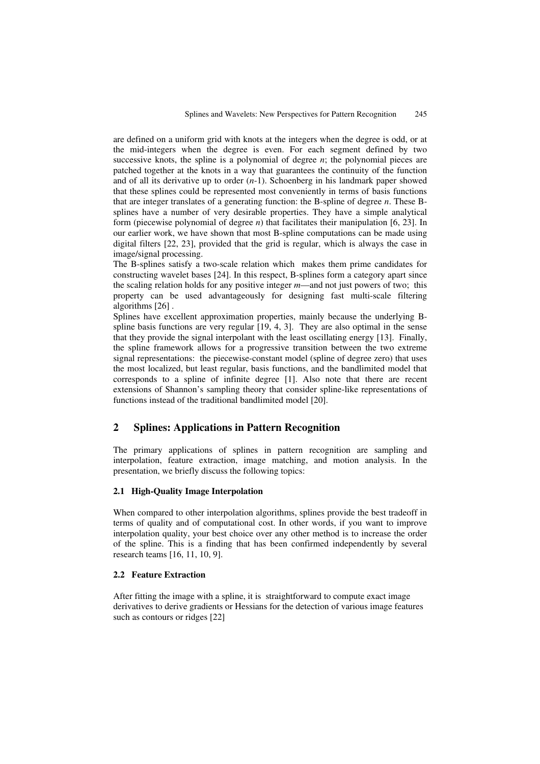are defined on a uniform grid with knots at the integers when the degree is odd, or at the mid-integers when the degree is even. For each segment defined by two successive knots, the spline is a polynomial of degree *n*; the polynomial pieces are patched together at the knots in a way that guarantees the continuity of the function and of all its derivative up to order (*n*-1). Schoenberg in his landmark paper showed that these splines could be represented most conveniently in terms of basis functions that are integer translates of a generating function: the B-spline of degree *n*. These Bsplines have a number of very desirable properties. They have a simple analytical form (piecewise polynomial of degree *n*) that facilitates their manipulation [6, 23]. In our earlier work, we have shown that most B-spline computations can be made using digital filters [22, 23], provided that the grid is regular, which is always the case in image/signal processing.

The B-splines satisfy a two-scale relation which makes them prime candidates for constructing wavelet bases [24]. In this respect, B-splines form a category apart since the scaling relation holds for any positive integer *m*—and not just powers of two; this property can be used advantageously for designing fast multi-scale filtering algorithms [26] .

Splines have excellent approximation properties, mainly because the underlying Bspline basis functions are very regular [19, 4, 3]. They are also optimal in the sense that they provide the signal interpolant with the least oscillating energy [13]. Finally, the spline framework allows for a progressive transition between the two extreme signal representations: the piecewise-constant model (spline of degree zero) that uses the most localized, but least regular, basis functions, and the bandlimited model that corresponds to a spline of infinite degree [1]. Also note that there are recent extensions of Shannon's sampling theory that consider spline-like representations of functions instead of the traditional bandlimited model [20].

# **2 Splines: Applications in Pattern Recognition**

The primary applications of splines in pattern recognition are sampling and interpolation, feature extraction, image matching, and motion analysis. In the presentation, we briefly discuss the following topics:

#### **2.1 High-Quality Image Interpolation**

When compared to other interpolation algorithms, splines provide the best tradeoff in terms of quality and of computational cost. In other words, if you want to improve interpolation quality, your best choice over any other method is to increase the order of the spline. This is a finding that has been confirmed independently by several research teams [16, 11, 10, 9].

### **2.2 Feature Extraction**

After fitting the image with a spline, it is straightforward to compute exact image derivatives to derive gradients or Hessians for the detection of various image features such as contours or ridges [22]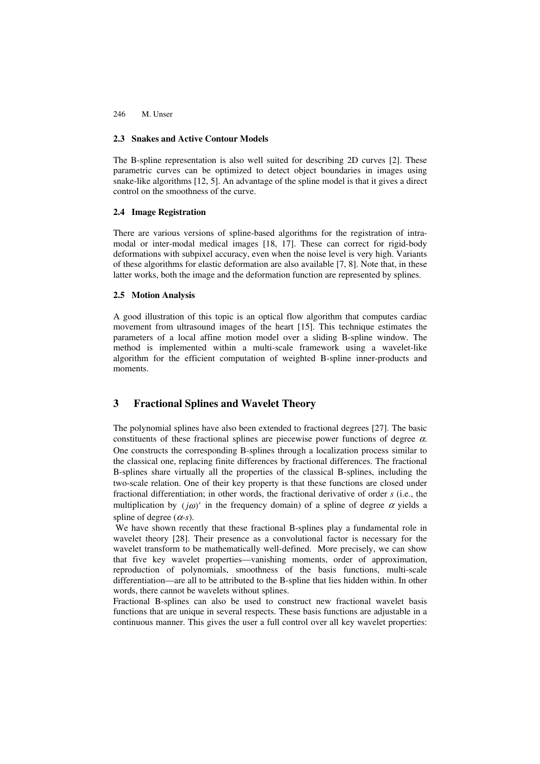#### **2.3 Snakes and Active Contour Models**

The B-spline representation is also well suited for describing 2D curves [2]. These parametric curves can be optimized to detect object boundaries in images using snake-like algorithms [12, 5]. An advantage of the spline model is that it gives a direct control on the smoothness of the curve.

#### **2.4 Image Registration**

There are various versions of spline-based algorithms for the registration of intramodal or inter-modal medical images [18, 17]. These can correct for rigid-body deformations with subpixel accuracy, even when the noise level is very high. Variants of these algorithms for elastic deformation are also available [7, 8]. Note that, in these latter works, both the image and the deformation function are represented by splines.

#### **2.5 Motion Analysis**

A good illustration of this topic is an optical flow algorithm that computes cardiac movement from ultrasound images of the heart [15]. This technique estimates the parameters of a local affine motion model over a sliding B-spline window. The method is implemented within a multi-scale framework using a wavelet-like algorithm for the efficient computation of weighted B-spline inner-products and moments.

# **3 Fractional Splines and Wavelet Theory**

The polynomial splines have also been extended to fractional degrees [27]. The basic constituents of these fractional splines are piecewise power functions of degree  $\alpha$ . One constructs the corresponding B-splines through a localization process similar to the classical one, replacing finite differences by fractional differences. The fractional B-splines share virtually all the properties of the classical B-splines, including the two-scale relation. One of their key property is that these functions are closed under fractional differentiation; in other words, the fractional derivative of order *s* (i.e., the multiplication by  $(j\omega)$ <sup>s</sup> in the frequency domain) of a spline of degree  $\alpha$  yields a spline of degree  $(\alpha - s)$ .

We have shown recently that these fractional B-splines play a fundamental role in wavelet theory [28]. Their presence as a convolutional factor is necessary for the wavelet transform to be mathematically well-defined. More precisely, we can show that five key wavelet properties—vanishing moments, order of approximation, reproduction of polynomials, smoothness of the basis functions, multi-scale differentiation—are all to be attributed to the B-spline that lies hidden within. In other words, there cannot be wavelets without splines.

Fractional B-splines can also be used to construct new fractional wavelet basis functions that are unique in several respects. These basis functions are adjustable in a continuous manner. This gives the user a full control over all key wavelet properties: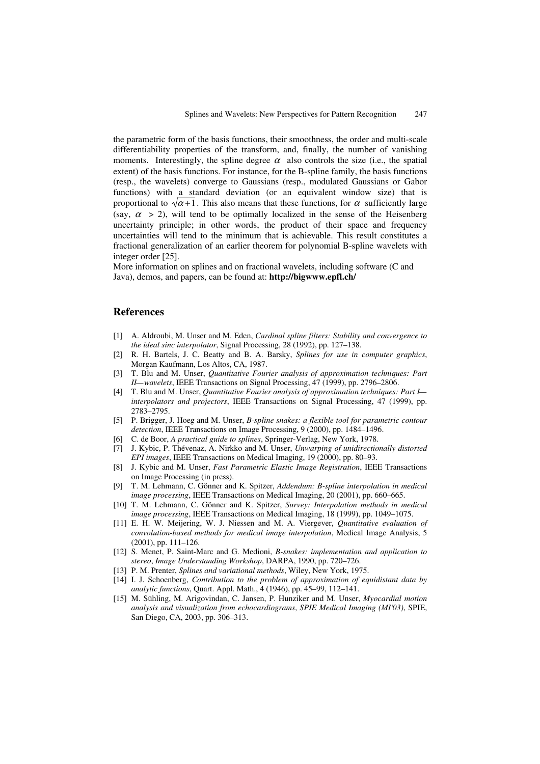the parametric form of the basis functions, their smoothness, the order and multi-scale differentiability properties of the transform, and, finally, the number of vanishing moments. Interestingly, the spline degree  $\alpha$  also controls the size (i.e., the spatial extent) of the basis functions. For instance, for the B-spline family, the basis functions (resp., the wavelets) converge to Gaussians (resp., modulated Gaussians or Gabor functions) with a standard deviation (or an equivalent window size) that is proportional to  $\sqrt{\alpha+1}$ . This also means that these functions, for  $\alpha$  sufficiently large (say,  $\alpha$  > 2), will tend to be optimally localized in the sense of the Heisenberg uncertainty principle; in other words, the product of their space and frequency uncertainties will tend to the minimum that is achievable. This result constitutes a fractional generalization of an earlier theorem for polynomial B-spline wavelets with integer order [25].

More information on splines and on fractional wavelets, including software (C and Java), demos, and papers, can be found at: **http://bigwww.epfl.ch/**

### **References**

- [1] A. Aldroubi, M. Unser and M. Eden, *Cardinal spline filters: Stability and convergence to the ideal sinc interpolator*, Signal Processing, 28 (1992), pp. 127–138.
- [2] R. H. Bartels, J. C. Beatty and B. A. Barsky, *Splines for use in computer graphics*, Morgan Kaufmann, Los Altos, CA, 1987.
- [3] T. Blu and M. Unser, *Quantitative Fourier analysis of approximation techniques: Part II—wavelets*, IEEE Transactions on Signal Processing, 47 (1999), pp. 2796–2806.
- [4] T. Blu and M. Unser, *Quantitative Fourier analysis of approximation techniques: Part I interpolators and projectors*, IEEE Transactions on Signal Processing, 47 (1999), pp. 2783–2795.
- [5] P. Brigger, J. Hoeg and M. Unser, *B-spline snakes: a flexible tool for parametric contour detection*, IEEE Transactions on Image Processing, 9 (2000), pp. 1484–1496.
- [6] C. de Boor, *A practical guide to splines*, Springer-Verlag, New York, 1978.
- [7] J. Kybic, P. Thévenaz, A. Nirkko and M. Unser, *Unwarping of unidirectionally distorted EPI images*, IEEE Transactions on Medical Imaging, 19 (2000), pp. 80–93.
- [8] J. Kybic and M. Unser, *Fast Parametric Elastic Image Registration*, IEEE Transactions on Image Processing (in press).
- [9] T. M. Lehmann, C. Gönner and K. Spitzer, *Addendum: B-spline interpolation in medical image processing*, IEEE Transactions on Medical Imaging, 20 (2001), pp. 660–665.
- [10] T. M. Lehmann, C. Gönner and K. Spitzer, *Survey: Interpolation methods in medical image processing*, IEEE Transactions on Medical Imaging, 18 (1999), pp. 1049–1075.
- [11] E. H. W. Meijering, W. J. Niessen and M. A. Viergever, *Quantitative evaluation of convolution-based methods for medical image interpolation*, Medical Image Analysis, 5 (2001), pp. 111–126.
- [12] S. Menet, P. Saint-Marc and G. Medioni, *B-snakes: implementation and application to stereo*, *Image Understanding Workshop*, DARPA, 1990, pp. 720–726.
- [13] P. M. Prenter, *Splines and variational methods*, Wiley, New York, 1975.
- [14] I. J. Schoenberg, *Contribution to the problem of approximation of equidistant data by analytic functions*, Quart. Appl. Math., 4 (1946), pp. 45–99, 112–141.
- [15] M. Sühling, M. Arigovindan, C. Jansen, P. Hunziker and M. Unser, *Myocardial motion analysis and visualization from echocardiograms*, *SPIE Medical Imaging (MI'03)*, SPIE, San Diego, CA, 2003, pp. 306–313.